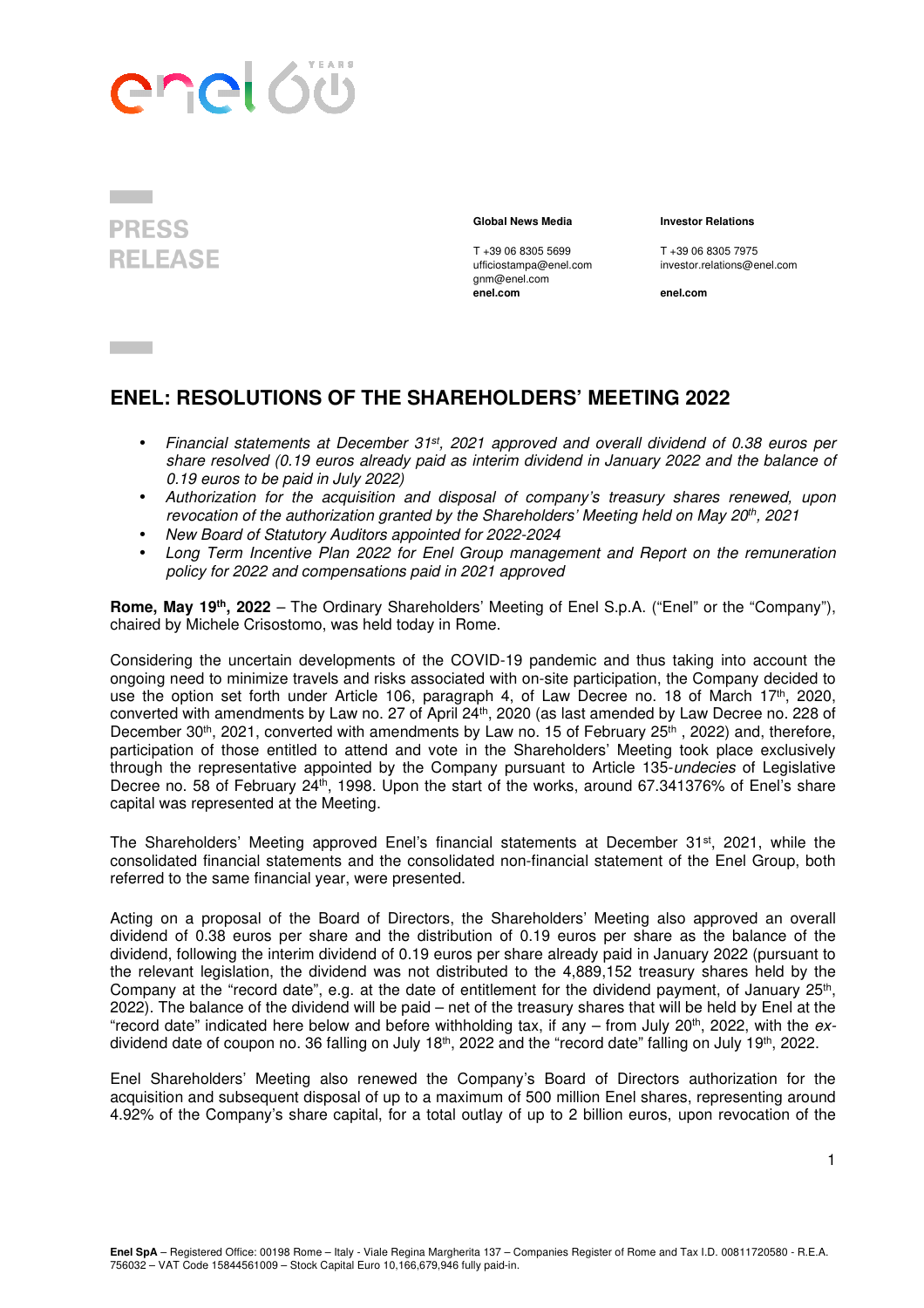



gnm@enel.com **enel.com enel.com**

**Global News Media Investor Relations** 

T +39 06 8305 5699 T +39 06 8305 7975 ufficiostampa@enel.com investor.relations@enel.com

# **ENEL: RESOLUTIONS OF THE SHAREHOLDERS' MEETING 2022**

- Financial statements at December 31<sup>st</sup>, 2021 approved and overall dividend of 0.38 euros per share resolved (0.19 euros already paid as interim dividend in January 2022 and the balance of 0.19 euros to be paid in July 2022)
- Authorization for the acquisition and disposal of company's treasury shares renewed, upon revocation of the authorization granted by the Shareholders' Meeting held on May 20<sup>th</sup>, 2021
- New Board of Statutory Auditors appointed for 2022-2024
- Long Term Incentive Plan 2022 for Enel Group management and Report on the remuneration policy for 2022 and compensations paid in 2021 approved

**Rome, May 19th, 2022** – The Ordinary Shareholders' Meeting of Enel S.p.A. ("Enel" or the "Company"), chaired by Michele Crisostomo, was held today in Rome.

Considering the uncertain developments of the COVID-19 pandemic and thus taking into account the ongoing need to minimize travels and risks associated with on-site participation, the Company decided to use the option set forth under Article 106, paragraph 4, of Law Decree no. 18 of March 17<sup>th</sup>, 2020, converted with amendments by Law no. 27 of April 24th, 2020 (as last amended by Law Decree no. 228 of December 30<sup>th</sup>, 2021, converted with amendments by Law no. 15 of February 25<sup>th</sup>, 2022) and, therefore, participation of those entitled to attend and vote in the Shareholders' Meeting took place exclusively through the representative appointed by the Company pursuant to Article 135-undecies of Legislative Decree no. 58 of February 24<sup>th</sup>, 1998. Upon the start of the works, around 67.341376% of Enel's share capital was represented at the Meeting.

The Shareholders' Meeting approved Enel's financial statements at December 31st, 2021, while the consolidated financial statements and the consolidated non-financial statement of the Enel Group, both referred to the same financial year, were presented.

Acting on a proposal of the Board of Directors, the Shareholders' Meeting also approved an overall dividend of 0.38 euros per share and the distribution of 0.19 euros per share as the balance of the dividend, following the interim dividend of 0.19 euros per share already paid in January 2022 (pursuant to the relevant legislation, the dividend was not distributed to the 4,889,152 treasury shares held by the Company at the "record date", e.g. at the date of entitlement for the dividend payment, of January 25<sup>th</sup>, 2022). The balance of the dividend will be paid – net of the treasury shares that will be held by Enel at the "record date" indicated here below and before withholding tax, if any  $-$  from July 20<sup>th</sup>, 2022, with the exdividend date of coupon no. 36 falling on July 18<sup>th</sup>, 2022 and the "record date" falling on July 19<sup>th</sup>, 2022.

Enel Shareholders' Meeting also renewed the Company's Board of Directors authorization for the acquisition and subsequent disposal of up to a maximum of 500 million Enel shares, representing around 4.92% of the Company's share capital, for a total outlay of up to 2 billion euros, upon revocation of the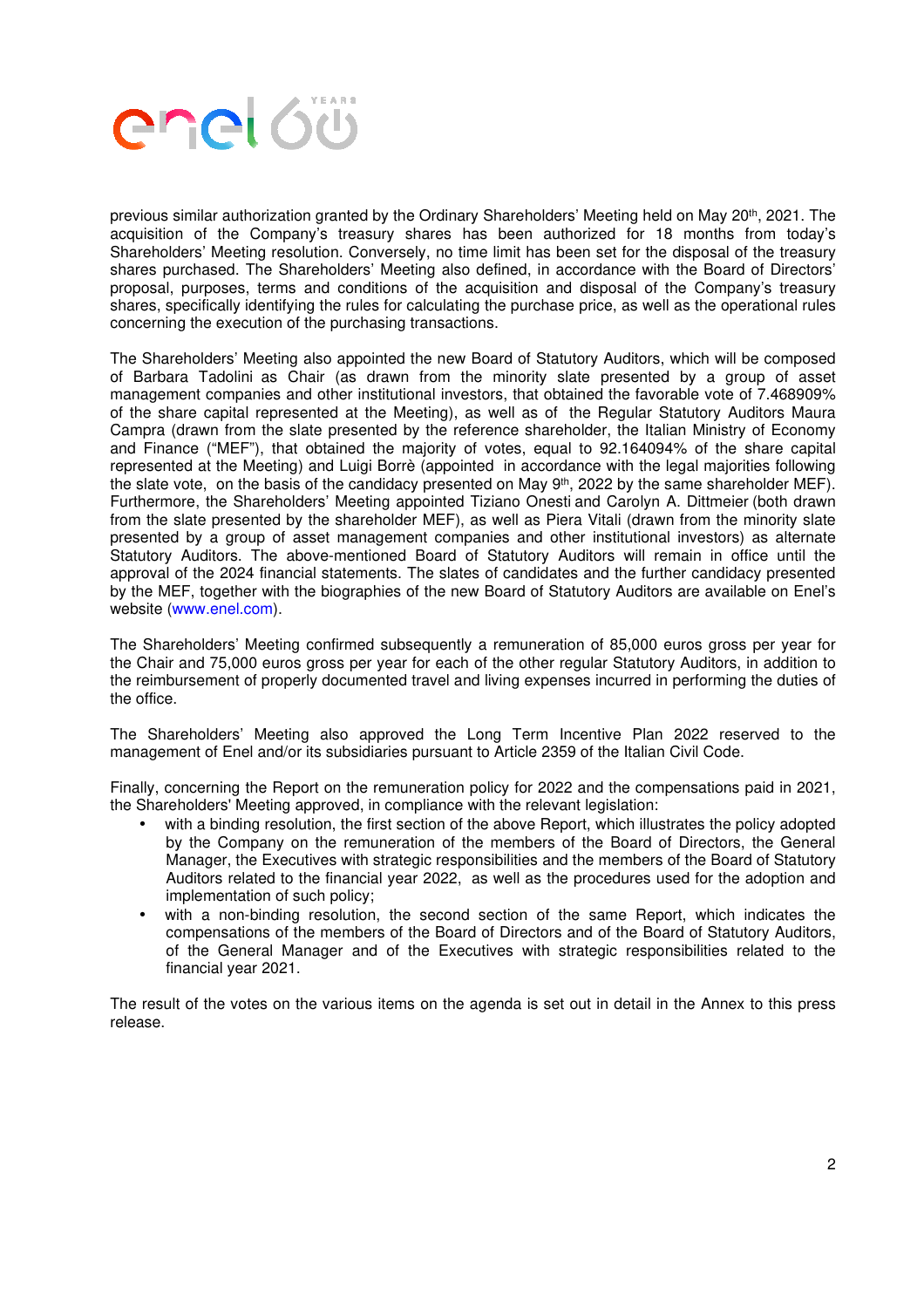

previous similar authorization granted by the Ordinary Shareholders' Meeting held on May 20<sup>th</sup>, 2021. The acquisition of the Company's treasury shares has been authorized for 18 months from today's Shareholders' Meeting resolution. Conversely, no time limit has been set for the disposal of the treasury shares purchased. The Shareholders' Meeting also defined, in accordance with the Board of Directors' proposal, purposes, terms and conditions of the acquisition and disposal of the Company's treasury shares, specifically identifying the rules for calculating the purchase price, as well as the operational rules concerning the execution of the purchasing transactions.

The Shareholders' Meeting also appointed the new Board of Statutory Auditors, which will be composed of Barbara Tadolini as Chair (as drawn from the minority slate presented by a group of asset management companies and other institutional investors, that obtained the favorable vote of 7.468909% of the share capital represented at the Meeting), as well as of the Regular Statutory Auditors Maura Campra (drawn from the slate presented by the reference shareholder, the Italian Ministry of Economy and Finance ("MEF"), that obtained the majority of votes, equal to 92.164094% of the share capital represented at the Meeting) and Luigi Borrè (appointed in accordance with the legal majorities following the slate vote, on the basis of the candidacy presented on May 9th, 2022 by the same shareholder MEF). Furthermore, the Shareholders' Meeting appointed Tiziano Onesti and Carolyn A. Dittmeier (both drawn from the slate presented by the shareholder MEF), as well as Piera Vitali (drawn from the minority slate presented by a group of asset management companies and other institutional investors) as alternate Statutory Auditors. The above-mentioned Board of Statutory Auditors will remain in office until the approval of the 2024 financial statements. The slates of candidates and the further candidacy presented by the MEF, together with the biographies of the new Board of Statutory Auditors are available on Enel's website (www.enel.com).

The Shareholders' Meeting confirmed subsequently a remuneration of 85,000 euros gross per year for the Chair and 75,000 euros gross per year for each of the other regular Statutory Auditors, in addition to the reimbursement of properly documented travel and living expenses incurred in performing the duties of the office.

The Shareholders' Meeting also approved the Long Term Incentive Plan 2022 reserved to the management of Enel and/or its subsidiaries pursuant to Article 2359 of the Italian Civil Code.

Finally, concerning the Report on the remuneration policy for 2022 and the compensations paid in 2021, the Shareholders' Meeting approved, in compliance with the relevant legislation:

- with a binding resolution, the first section of the above Report, which illustrates the policy adopted by the Company on the remuneration of the members of the Board of Directors, the General Manager, the Executives with strategic responsibilities and the members of the Board of Statutory Auditors related to the financial year 2022, as well as the procedures used for the adoption and implementation of such policy;
- with a non-binding resolution, the second section of the same Report, which indicates the compensations of the members of the Board of Directors and of the Board of Statutory Auditors, of the General Manager and of the Executives with strategic responsibilities related to the financial year 2021.

The result of the votes on the various items on the agenda is set out in detail in the Annex to this press release.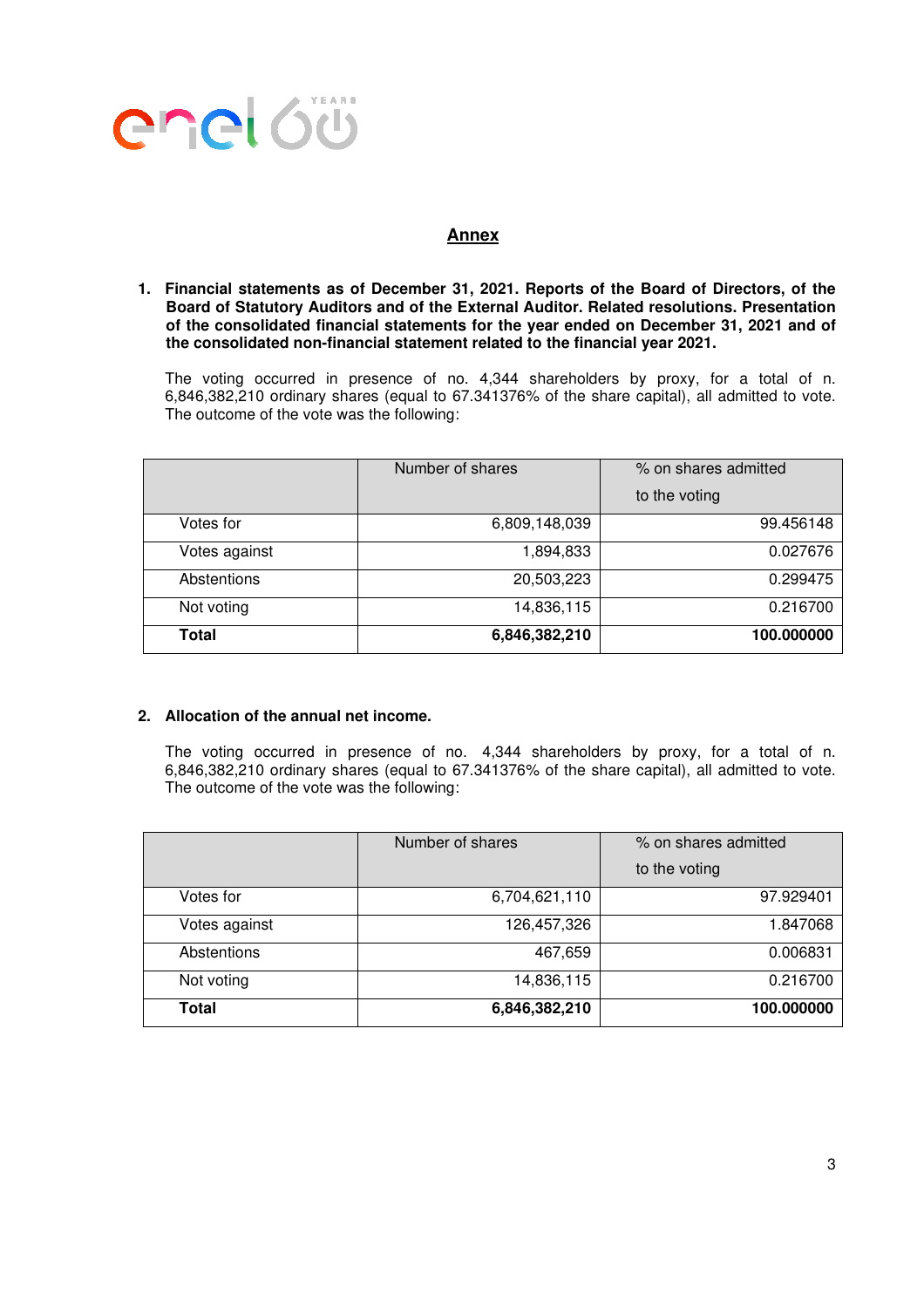

# **Annex**

**1. Financial statements as of December 31, 2021. Reports of the Board of Directors, of the Board of Statutory Auditors and of the External Auditor. Related resolutions. Presentation of the consolidated financial statements for the year ended on December 31, 2021 and of the consolidated non-financial statement related to the financial year 2021.** 

The voting occurred in presence of no. 4,344 shareholders by proxy, for a total of n. 6,846,382,210 ordinary shares (equal to 67.341376% of the share capital), all admitted to vote. The outcome of the vote was the following:

|               | Number of shares | % on shares admitted |
|---------------|------------------|----------------------|
|               |                  | to the voting        |
| Votes for     | 6,809,148,039    | 99.456148            |
| Votes against | 1,894,833        | 0.027676             |
| Abstentions   | 20,503,223       | 0.299475             |
| Not voting    | 14,836,115       | 0.216700             |
| Total         | 6,846,382,210    | 100.000000           |

## **2. Allocation of the annual net income.**

The voting occurred in presence of no. 4,344 shareholders by proxy, for a total of n. 6,846,382,210 ordinary shares (equal to 67.341376% of the share capital), all admitted to vote. The outcome of the vote was the following:

|               | Number of shares | % on shares admitted |
|---------------|------------------|----------------------|
|               |                  | to the voting        |
| Votes for     | 6,704,621,110    | 97.929401            |
| Votes against | 126,457,326      | 1.847068             |
| Abstentions   | 467,659          | 0.006831             |
| Not voting    | 14,836,115       | 0.216700             |
| <b>Total</b>  | 6,846,382,210    | 100.000000           |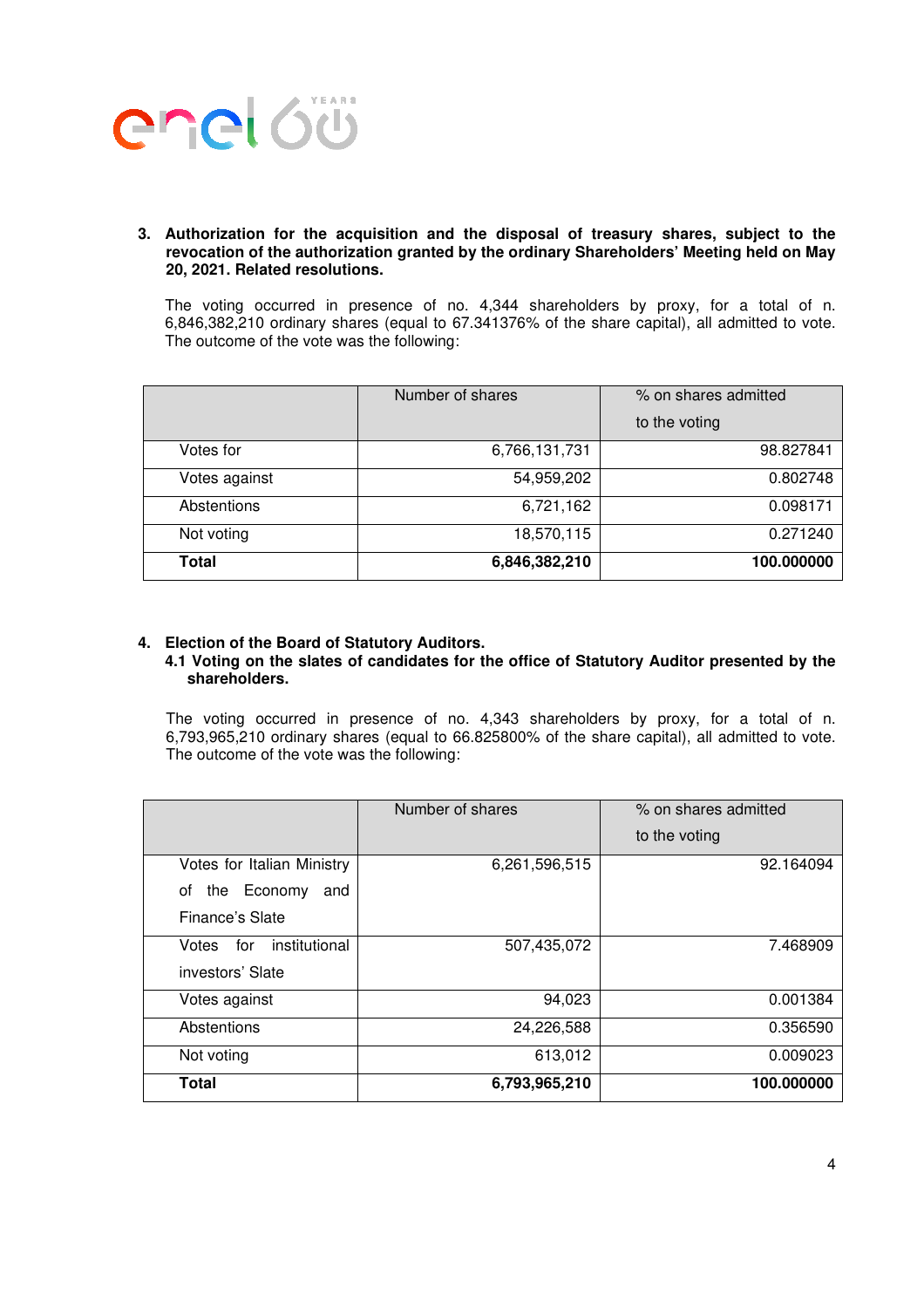

#### **3. Authorization for the acquisition and the disposal of treasury shares, subject to the revocation of the authorization granted by the ordinary Shareholders' Meeting held on May 20, 2021. Related resolutions.**

The voting occurred in presence of no. 4,344 shareholders by proxy, for a total of n. 6,846,382,210 ordinary shares (equal to 67.341376% of the share capital), all admitted to vote. The outcome of the vote was the following:

|               | Number of shares | % on shares admitted |
|---------------|------------------|----------------------|
|               |                  | to the voting        |
| Votes for     | 6,766,131,731    | 98.827841            |
| Votes against | 54,959,202       | 0.802748             |
| Abstentions   | 6,721,162        | 0.098171             |
| Not voting    | 18,570,115       | 0.271240             |
| Total         | 6,846,382,210    | 100.000000           |

#### **4. Election of the Board of Statutory Auditors.**

#### **4.1 Voting on the slates of candidates for the office of Statutory Auditor presented by the shareholders.**

The voting occurred in presence of no. 4,343 shareholders by proxy, for a total of n. 6,793,965,210 ordinary shares (equal to 66.825800% of the share capital), all admitted to vote. The outcome of the vote was the following:

|                               | Number of shares | % on shares admitted |
|-------------------------------|------------------|----------------------|
|                               |                  | to the voting        |
| Votes for Italian Ministry    | 6,261,596,515    | 92.164094            |
| the Economy<br>and<br>οf      |                  |                      |
| Finance's Slate               |                  |                      |
| institutional<br>Votes<br>for | 507,435,072      | 7.468909             |
| investors' Slate              |                  |                      |
| Votes against                 | 94,023           | 0.001384             |
| Abstentions                   | 24,226,588       | 0.356590             |
| Not voting                    | 613,012          | 0.009023             |
| Total                         | 6,793,965,210    | 100.000000           |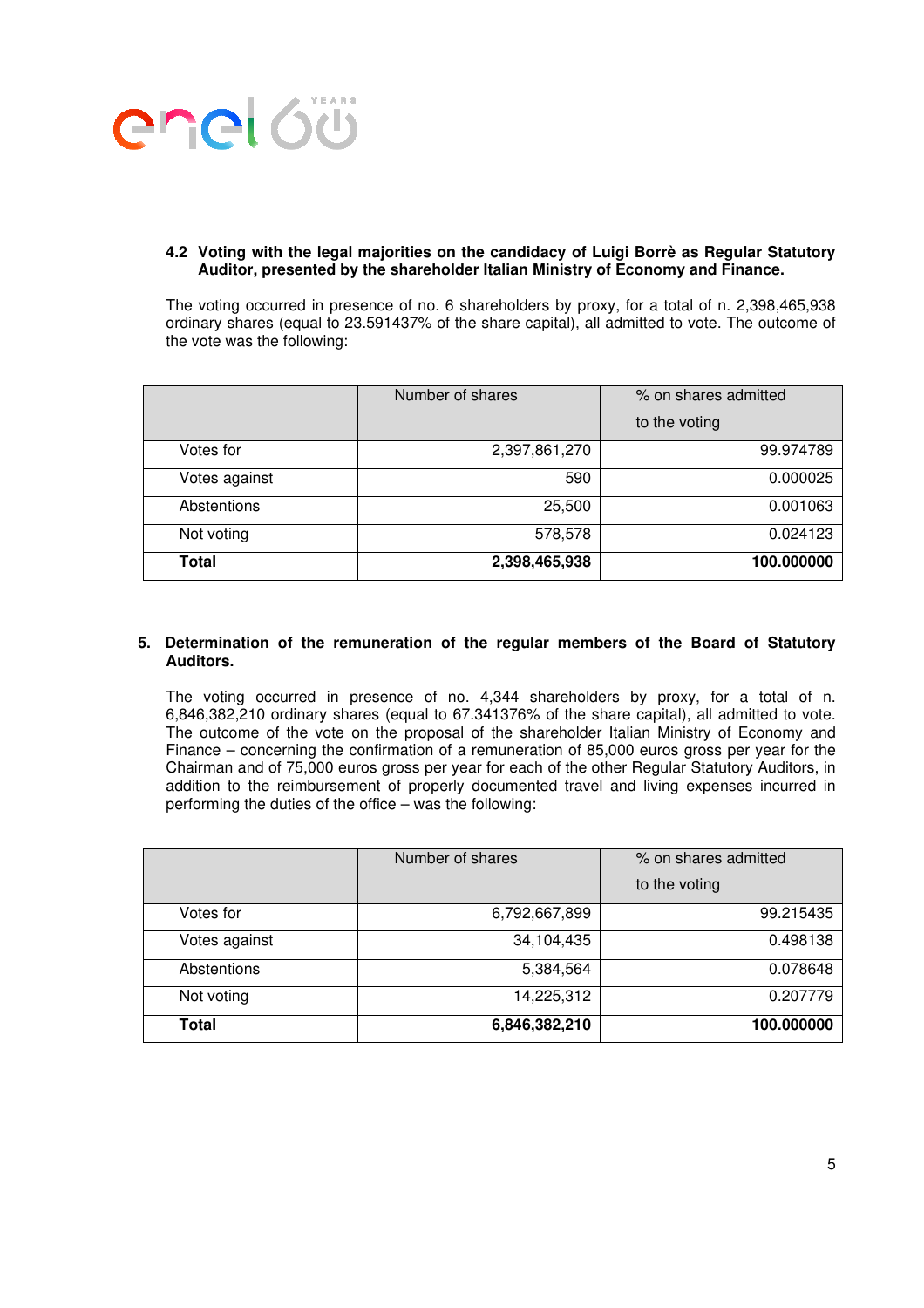

#### **4.2 Voting with the legal majorities on the candidacy of Luigi Borrè as Regular Statutory Auditor, presented by the shareholder Italian Ministry of Economy and Finance.**

The voting occurred in presence of no. 6 shareholders by proxy, for a total of n. 2,398,465,938 ordinary shares (equal to 23.591437% of the share capital), all admitted to vote. The outcome of the vote was the following:

|               | Number of shares | % on shares admitted |
|---------------|------------------|----------------------|
|               |                  | to the voting        |
| Votes for     | 2,397,861,270    | 99.974789            |
| Votes against | 590              | 0.000025             |
| Abstentions   | 25,500           | 0.001063             |
| Not voting    | 578,578          | 0.024123             |
| Total         | 2,398,465,938    | 100.000000           |

#### **5. Determination of the remuneration of the regular members of the Board of Statutory Auditors.**

The voting occurred in presence of no. 4,344 shareholders by proxy, for a total of n. 6,846,382,210 ordinary shares (equal to 67.341376% of the share capital), all admitted to vote. The outcome of the vote on the proposal of the shareholder Italian Ministry of Economy and Finance – concerning the confirmation of a remuneration of 85,000 euros gross per year for the Chairman and of 75,000 euros gross per year for each of the other Regular Statutory Auditors, in addition to the reimbursement of properly documented travel and living expenses incurred in performing the duties of the office – was the following:

|               | Number of shares | % on shares admitted |
|---------------|------------------|----------------------|
|               |                  | to the voting        |
| Votes for     | 6,792,667,899    | 99.215435            |
| Votes against | 34,104,435       | 0.498138             |
| Abstentions   | 5,384,564        | 0.078648             |
| Not voting    | 14,225,312       | 0.207779             |
| Total         | 6,846,382,210    | 100.000000           |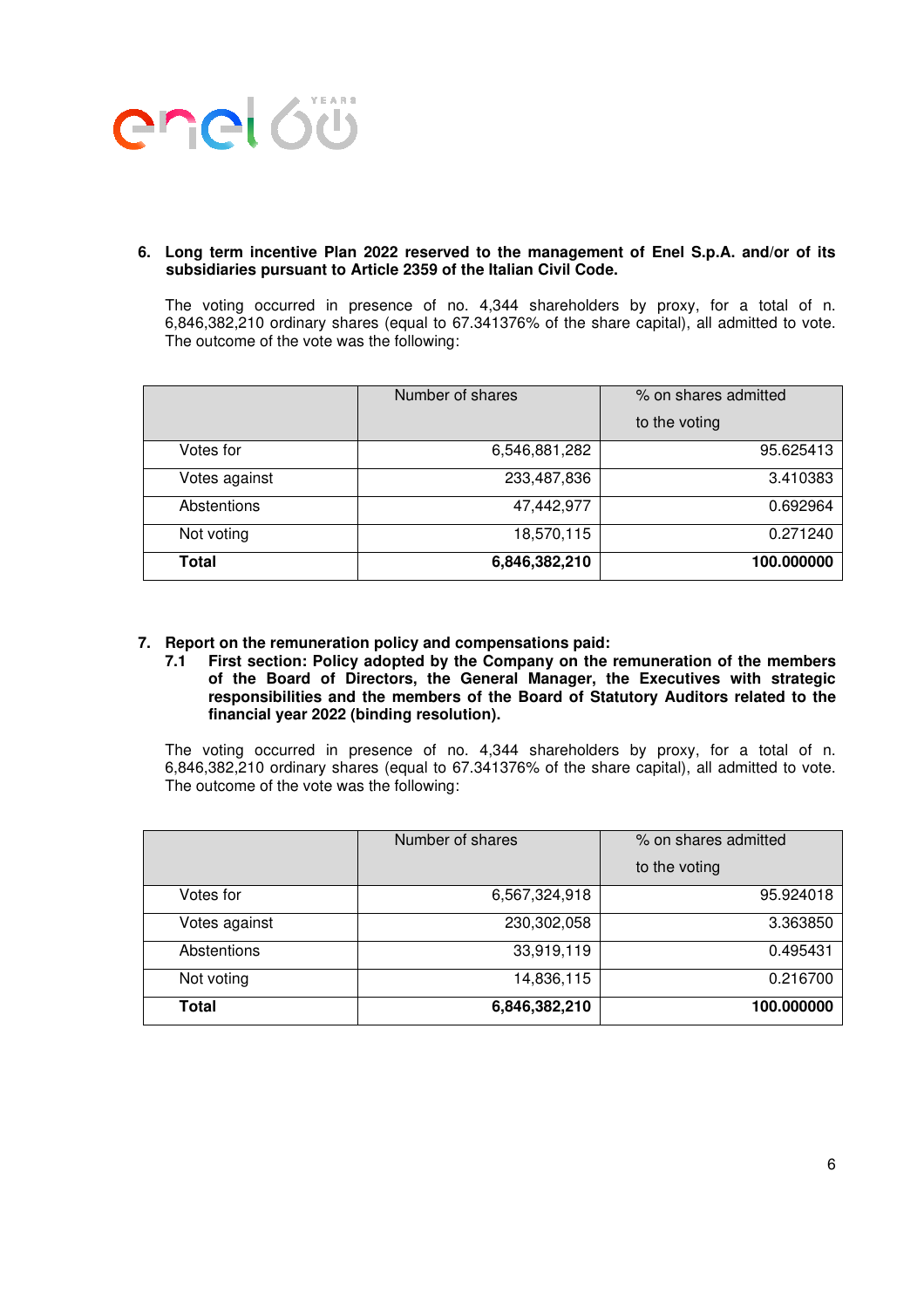

#### **6. Long term incentive Plan 2022 reserved to the management of Enel S.p.A. and/or of its subsidiaries pursuant to Article 2359 of the Italian Civil Code.**

The voting occurred in presence of no. 4,344 shareholders by proxy, for a total of n. 6,846,382,210 ordinary shares (equal to 67.341376% of the share capital), all admitted to vote. The outcome of the vote was the following:

|               | Number of shares | % on shares admitted |
|---------------|------------------|----------------------|
|               |                  | to the voting        |
| Votes for     | 6,546,881,282    | 95.625413            |
| Votes against | 233,487,836      | 3.410383             |
| Abstentions   | 47,442,977       | 0.692964             |
| Not voting    | 18,570,115       | 0.271240             |
| Total         | 6,846,382,210    | 100.000000           |

- **7. Report on the remuneration policy and compensations paid:** 
	- **7.1 First section: Policy adopted by the Company on the remuneration of the members of the Board of Directors, the General Manager, the Executives with strategic responsibilities and the members of the Board of Statutory Auditors related to the financial year 2022 (binding resolution).**

The voting occurred in presence of no. 4,344 shareholders by proxy, for a total of n. 6,846,382,210 ordinary shares (equal to 67.341376% of the share capital), all admitted to vote. The outcome of the vote was the following:

|               | Number of shares | % on shares admitted |
|---------------|------------------|----------------------|
|               |                  | to the voting        |
| Votes for     | 6,567,324,918    | 95.924018            |
| Votes against | 230,302,058      | 3.363850             |
| Abstentions   | 33,919,119       | 0.495431             |
| Not voting    | 14,836,115       | 0.216700             |
| <b>Total</b>  | 6,846,382,210    | 100.000000           |